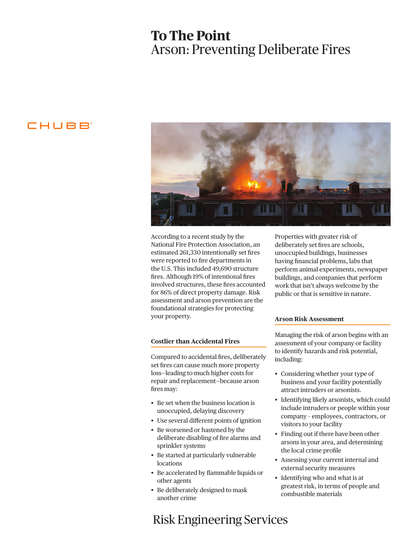# **To The Point** Arson: Preventing Deliberate Fires

## CHUBB



According to a recent study by the National Fire Protection Association, an estimated 261,330 intentionally set fires were reported to fire departments in the U.S. This included 49,690 structure fires. Although 19% of intentional fires involved structures, these fires accounted for 86% of direct property damage. Risk assessment and arson prevention are the foundational strategies for protecting your property.

### **Costlier than Accidental Fires**

Compared to accidental fires, deliberately set fires can cause much more property loss—leading to much higher costs for repair and replacement—because arson fires may:

- Be set when the business location is unoccupied, delaying discovery
- Use several different points of ignition
- Be worsened or hastened by the deliberate disabling of fire alarms and sprinkler systems
- Be started at particularly vulnerable locations
- Be accelerated by flammable liquids or other agents
- Be deliberately designed to mask another crime

# Risk Engineering Services

Properties with greater risk of deliberately set fires are schools, unoccupied buildings, businesses having financial problems, labs that perform animal experiments, newspaper buildings, and companies that perform work that isn't always welcome by the public or that is sensitive in nature.

### **Arson Risk Assessment**

Managing the risk of arson begins with an assessment of your company or facility to identify hazards and risk potential, including:

- Considering whether your type of business and your facility potentially attract intruders or arsonists.
- Identifying likely arsonists, which could include intruders or people within your company – employees, contractors, or visitors to your facility
- Finding out if there have been other arsons in your area, and determining the local crime profile
- Assessing your current internal and external security measures
- Identifying who and what is at greatest risk, in terms of people and combustible materials